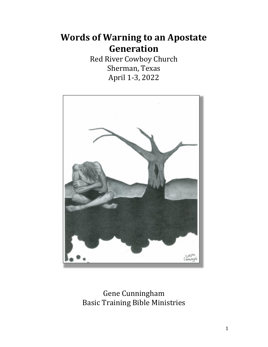# **Words of Warning to an Apostate Generation**

Red River Cowboy Church Sherman, Texas April 1-3, 2022



Gene Cunningham Basic Training Bible Ministries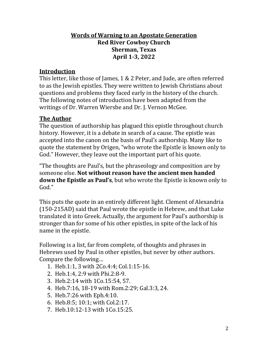#### **Words of Warning to an Apostate Generation Red River Cowboy Church Sherman, Texas April 1-3, 2022**

#### **Introduction**

This letter, like those of James, 1 & 2 Peter, and Jude, are often referred to as the Jewish epistles. They were written to Jewish Christians about questions and problems they faced early in the history of the church. The following notes of introduction have been adapted from the writings of Dr. Warren Wiersbe and Dr. J. Vernon McGee.

#### **The Author**

The question of authorship has plagued this epistle throughout church history. However, it is a debate in search of a cause. The epistle was accepted into the canon on the basis of Paul's authorship. Many like to quote the statement by Origen, "who wrote the Epistle is known only to God." However, they leave out the important part of his quote.

"The thoughts are Paul's, but the phraseology and composition are by someone else. **Not without reason have the ancient men handed down the Epistle as Paul's**, but who wrote the Epistle is known only to God."

This puts the quote in an entirely different light. Clement of Alexandria (150-215AD) said that Paul wrote the epistle in Hebrew, and that Luke translated it into Greek. Actually, the argument for Paul's authorship is stronger than for some of his other epistles, in spite of the lack of his name in the epistle.

Following is a list, far from complete, of thoughts and phrases in Hebrews used by Paul in other epistles, but never by other authors. Compare the following…

- 1. Heb.1:1, 3 with 2Co.4:4; Col.1:15-16.
- 2. Heb.1:4, 2:9 with Phi.2:8-9.
- 3. Heb.2:14 with 1Co.15:54, 57.
- 4. Heb.7:16, 18-19 with Rom.2:29; Gal.3:3, 24.
- 5. Heb.7:26 with Eph.4:10.
- 6. Heb.8:5; 10:1; with Col.2:17.
- 7. Heb.10:12-13 with 1Co.15:25.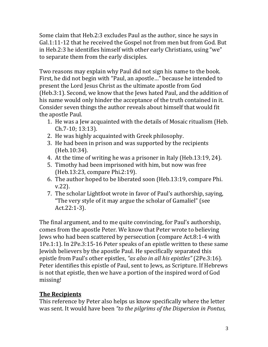Some claim that Heb.2:3 excludes Paul as the author, since he says in Gal.1:11-12 that he received the Gospel not from men but from God. But in Heb.2:3 he identifies himself with other early Christians, using "we" to separate them from the early disciples.

Two reasons may explain why Paul did not sign his name to the book. First, he did not begin with "Paul, an apostle…" because he intended to present the Lord Jesus Christ as the ultimate apostle from God (Heb.3:1). Second, we know that the Jews hated Paul, and the addition of his name would only hinder the acceptance of the truth contained in it. Consider seven things the author reveals about himself that would fit the apostle Paul.

- 1. He was a Jew acquainted with the details of Mosaic ritualism (Heb. Ch.7-10; 13:13).
- 2. He was highly acquainted with Greek philosophy.
- 3. He had been in prison and was supported by the recipients (Heb.10:34).
- 4. At the time of writing he was a prisoner in Italy (Heb.13:19, 24).
- 5. Timothy had been imprisoned with him, but now was free (Heb.13:23, compare Phi.2:19).
- 6. The author hoped to be liberated soon (Heb.13:19, compare Phi. v.22).
- 7. The scholar Lightfoot wrote in favor of Paul's authorship, saying, "The very style of it may argue the scholar of Gamaliel" (see Act.22:1-3).

The final argument, and to me quite convincing, for Paul's authorship, comes from the apostle Peter. We know that Peter wrote to believing Jews who had been scattered by persecution (compare Act.8:1-4 with 1Pe.1:1). In 2Pe.3:15-16 Peter speaks of an epistle written to these same Jewish believers by the apostle Paul. He specifically separated this epistle from Paul's other epistles, *"as also in all his epistles"* (2Pe.3:16). Peter identifies this epistle of Paul, sent to Jews, as Scripture. If Hebrews is not that epistle, then we have a portion of the inspired word of God missing!

# **The Recipients**

This reference by Peter also helps us know specifically where the letter was sent. It would have been *"to the pilgrims of the Dispersion in Pontus,*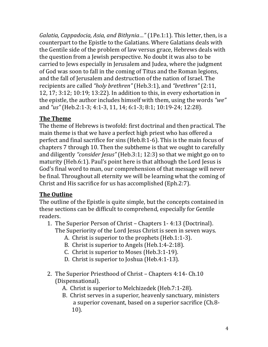*Galatia, Cappadocia, Asia, and Bithynia…"* (1Pe.1:1). This letter, then, is a counterpart to the Epistle to the Galatians. Where Galatians deals with the Gentile side of the problem of law versus grace, Hebrews deals with the question from a Jewish perspective. No doubt it was also to be carried to Jews especially in Jerusalem and Judea, where the judgment of God was soon to fall in the coming of Titus and the Roman legions, and the fall of Jerusalem and destruction of the nation of Israel. The recipients are called *"holy brethren"* (Heb.3:1), and *"brethren"* (2:11, 12, 17; 3:12; 10:19; 13:22). In addition to this, in every exhortation in the epistle, the author includes himself with them, using the words *"we"* and *"us"* (Heb.2:1-3; 4:1-3, 11, 14; 6:1-3; 8:1; 10:19-24; 12:28).

# **The Theme**

The theme of Hebrews is twofold: first doctrinal and then practical. The main theme is that we have a perfect high priest who has offered a perfect and final sacrifice for sins (Heb.8:1-6). This is the main focus of chapters 7 through 10. Then the subtheme is that we ought to carefully and diligently *"consider Jesus"* (Heb.3:1; 12:3) so that we might go on to maturity (Heb.6:1). Paul's point here is that although the Lord Jesus is God's final word to man, our comprehension of that message will never be final. Throughout all eternity we will be learning what the coming of Christ and His sacrifice for us has accomplished (Eph.2:7).

# **The Outline**

The outline of the Epistle is quite simple, but the concepts contained in these sections can be difficult to comprehend, especially for Gentile readers.

- 1. The Superior Person of Christ Chapters 1- 4:13 (Doctrinal). The Superiority of the Lord Jesus Christ is seen in seven ways.
	- A. Christ is superior to the prophets (Heb.1:1-3).
	- B. Christ is superior to Angels (Heb.1:4-2:18).
	- C. Christ is superior to Moses (Heb.3:1-19).
	- D. Christ is superior to Joshua (Heb.4:1-13).
- 2. The Superior Priesthood of Christ Chapters 4:14- Ch.10 (Dispensational).
	- A. Christ is superior to Melchizedek (Heb.7:1-28).
	- B. Christ serves in a superior, heavenly sanctuary, ministers a superior covenant, based on a superior sacrifice (Ch.8- 10).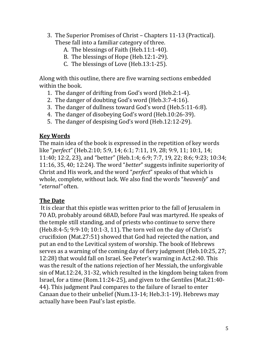- 3. The Superior Promises of Christ Chapters 11-13 (Practical). These fall into a familiar category of three.
	- A. The blessings of Faith (Heb.11:1-40).
	- B. The blessings of Hope (Heb.12:1-29).
	- C. The blessings of Love (Heb.13:1-25).

Along with this outline, there are five warning sections embedded within the book.

- 1. The danger of drifting from God's word (Heb.2:1-4).
- 2. The danger of doubting God's word (Heb.3:7-4:16).
- 3. The danger of dullness toward God's word (Heb.5:11-6:8).
- 4. The danger of disobeying God's word (Heb.10:26-39).
- 5. The danger of despising God's word (Heb.12:12-29).

## **Key Words**

The main idea of the book is expressed in the repetition of key words like "*perfect*" (Heb.2:10; 5:9, 14; 6:1; 7:11, 19, 28; 9:9, 11; 10:1, 14; 11:40; 12:2, 23), and "better" (Heb.1:4; 6:9; 7:7, 19, 22; 8:6; 9:23; 10:34; 11:16, 35, 40; 12:24). The word "*better*" suggests infinite superiority of Christ and His work, and the word "*perfect*" speaks of that which is whole, complete, without lack. We also find the words "*heavenly*" and "*eternal"* often.

# **The Date**

 It is clear that this epistle was written prior to the fall of Jerusalem in 70 AD, probably around 68AD, before Paul was martyred. He speaks of the temple still standing, and of priests who continue to serve there (Heb.8:4-5; 9:9-10; 10:1-3, 11). The torn veil on the day of Christ's crucifixion (Mat.27:51) showed that God had rejected the nation, and put an end to the Levitical system of worship. The book of Hebrews serves as a warning of the coming day of fiery judgment (Heb.10:25, 27; 12:28) that would fall on Israel. See Peter's warning in Act.2:40. This was the result of the nations rejection of her Messiah, the unforgivable sin of Mat.12:24, 31-32, which resulted in the kingdom being taken from Israel, for a time (Rom.11:24-25), and given to the Gentiles (Mat.21:40- 44). This judgment Paul compares to the failure of Israel to enter Canaan due to their unbelief (Num.13-14; Heb.3:1-19). Hebrews may actually have been Paul's last epistle.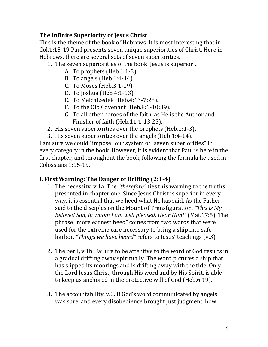## **The Infinite Superiority of Jesus Christ**

This is the theme of the book of Hebrews. It is most interesting that in Col.1:15-19 Paul presents seven unique superiorities of Christ. Here in Hebrews, there are several sets of seven superiorities.

- 1. The seven superiorities of the book: Jesus is superior…
	- A. To prophets (Heb.1:1-3).
	- B. To angels (Heb.1:4-14).
	- C. To Moses (Heb.3:1-19).
	- D. To Joshua (Heb.4:1-13).
	- E. To Melchizedek (Heb.4:13-7:28).
	- F. To the Old Covenant (Heb.8:1-10:39).
	- G. To all other heroes of the faith, as He is the Author and Finisher of faith (Heb.11:1-13:25).
- 2. His seven superiorities over the prophets (Heb.1:1-3).
- 3. His seven superiorities over the angels (Heb.1:4-14).

I am sure we could "impose" our system of "seven superiorities" in every category in the book. However, it is evident that Paul is here in the first chapter, and throughout the book, following the formula he used in Colossians 1:15-19.

#### **I. First Warning: The Danger of Drifting (2:1-4)**

- 1. The necessity, v.1a. The *"therefore"* ties this warning to the truths presented in chapter one. Since Jesus Christ is superior in every way, it is essential that we heed what He has said. As the Father said to the disciples on the Mount of Transfiguration, *"This is My beloved Son, in whom I am well pleased. Hear Him!"* (Mat.17:5). The phrase "more earnest heed" comes from two words that were used for the extreme care necessary to bring a ship into safe harbor. *"Things we have heard"* refers to Jesus' teachings (v.3).
- 2. The peril, v.1b. Failure to be attentive to the word of God results in a gradual drifting away spiritually. The word pictures a ship that has slipped its moorings and is drifting away with the tide. Only the Lord Jesus Christ, through His word and by His Spirit, is able to keep us anchored in the protective will of God (Heb.6:19).
- 3. The accountability, v.2. If God's word communicated by angels was sure, and every disobedience brought just judgment, how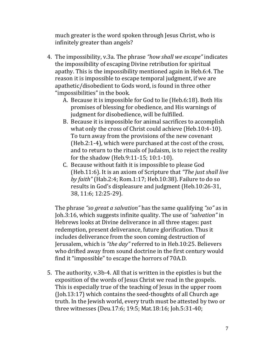much greater is the word spoken through Jesus Christ, who is infinitely greater than angels?

- 4. The impossibility, v.3a. The phrase *"how shall we escape"* indicates the impossibility of escaping Divine retribution for spiritual apathy. This is the impossibility mentioned again in Heb.6:4. The reason it is impossible to escape temporal judgment, if we are apathetic/disobedient to Gods word, is found in three other "impossibilities" in the book.
	- A. Because it is impossible for God to lie (Heb.6:18). Both His promises of blessing for obedience, and His warnings of judgment for disobedience, will be fulfilled.
	- B. Because it is impossible for animal sacrifices to accomplish what only the cross of Christ could achieve (Heb.10:4-10). To turn away from the provisions of the new covenant (Heb.2:1-4), which were purchased at the cost of the cross, and to return to the rituals of Judaism, is to reject the reality for the shadow (Heb.9:11-15; 10:1-10).
	- C. Because without faith it is impossible to please God (Heb.11:6). It is an axiom of Scripture that *"The just shall live by faith"* (Hab.2:4; Rom.1:17; Heb.10:38). Failure to do so results in God's displeasure and judgment (Heb.10:26-31, 38, 11:6; 12:25-29).

The phrase *"so great a salvation"* has the same qualifying *"so"* as in Joh.3:16, which suggests infinite quality. The use of *"salvation"* in Hebrews looks at Divine deliverance in all three stages: past redemption, present deliverance, future glorification. Thus it includes deliverance from the soon coming destruction of Jerusalem, which is *"the day"* referred to in Heb.10:25. Believers who drifted away from sound doctrine in the first century would find it "impossible" to escape the horrors of 70A.D.

5. The authority, v.3b-4. All that is written in the epistles is but the exposition of the words of Jesus Christ we read in the gospels. This is especially true of the teaching of Jesus in the upper room (Joh.13:17) which contains the seed-thoughts of all Church age truth. In the Jewish world, every truth must be attested by two or three witnesses (Deu.17:6; 19:5; Mat.18:16; Joh.5:31-40;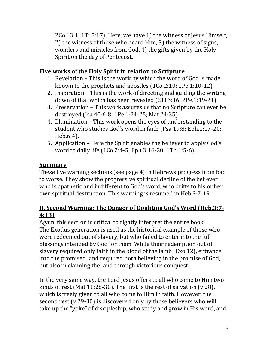2Co.13:1; 1Ti.5:17). Here, we have 1) the witness of Jesus Himself, 2) the witness of those who heard Him, 3) the witness of signs, wonders and miracles from God, 4) the gifts given by the Holy Spirit on the day of Pentecost.

## **Five works of the Holy Spirit in relation to Scripture**

- 1. Revelation This is the work by which the word of God is made known to the prophets and apostles (1Co.2:10; 1Pe.1:10-12).
- 2. Inspiration This is the work of directing and guiding the writing down of that which has been revealed (2Ti.3:16; 2Pe.1:19-21).
- 3. Preservation This work assures us that no Scripture can ever be destroyed (Isa.40:6-8; 1Pe.1:24-25; Mat.24:35).
- 4. Illumination This work opens the eyes of understanding to the student who studies God's word in faith (Psa.19:8; Eph.1:17-20; Heb.6:4).
- 5. Application Here the Spirit enables the believer to apply God's word to daily life (1Co.2:4-5; Eph.3:16-20; 1Th.1:5-6).

# **Summary**

These five warning sections (see page 4) in Hebrews progress from bad to worse. They show the progressive spiritual decline of the believer who is apathetic and indifferent to God's word, who drifts to his or her own spiritual destruction. This warning is resumed in Heb.3:7-19.

# **II. Second Warning: The Danger of Doubting God's Word (Heb.3:7- 4:13)**

Again, this section is critical to rightly interpret the entire book. The Exodus generation is used as the historical example of those who were redeemed out of slavery, but who failed to enter into the full blessings intended by God for them. While their redemption out of slavery required only faith in the blood of the lamb (Exo.12), entrance into the promised land required both believing in the promise of God, but also in claiming the land through victorious conquest.

In the very same way, the Lord Jesus offers to all who come to Him two kinds of rest (Mat.11:28-30). The first is the rest of salvation (v.28), which is freely given to all who come to Him in faith. However, the second rest (v.29-30) is discovered only by those believers who will take up the "yoke" of discipleship, who study and grow in His word, and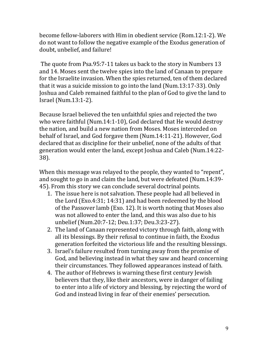become fellow-laborers with Him in obedient service (Rom.12:1-2). We do not want to follow the negative example of the Exodus generation of doubt, unbelief, and failure!

 The quote from Psa.95:7-11 takes us back to the story in Numbers 13 and 14. Moses sent the twelve spies into the land of Canaan to prepare for the Israelite invasion. When the spies returned, ten of them declared that it was a suicide mission to go into the land (Num.13:17-33). Only Joshua and Caleb remained faithful to the plan of God to give the land to Israel (Num.13:1-2).

Because Israel believed the ten unfaithful spies and rejected the two who were faithful (Num.14:1-10), God declared that He would destroy the nation, and build a new nation from Moses. Moses interceded on behalf of Israel, and God forgave them (Num.14:11-21). However, God declared that as discipline for their unbelief, none of the adults of that generation would enter the land, except Joshua and Caleb (Num.14:22- 38).

When this message was relayed to the people, they wanted to "repent", and sought to go in and claim the land, but were defeated (Num.14:39- 45). From this story we can conclude several doctrinal points.

- 1. The issue here is not salvation. These people had all believed in the Lord (Exo.4:31; 14:31) and had been redeemed by the blood of the Passover lamb (Exo. 12). It is worth noting that Moses also was not allowed to enter the land, and this was also due to his unbelief (Num.20:7-12; Deu.1:37; Deu.3:23-27).
- 2. The land of Canaan represented victory through faith, along with all its blessings. By their refusal to continue in faith, the Exodus generation forfeited the victorious life and the resulting blessings.
- 3. Israel's failure resulted from turning away from the promise of God, and believing instead in what they saw and heard concerning their circumstances. They followed appearances instead of faith.
- 4. The author of Hebrews is warning these first century Jewish believers that they, like their ancestors, were in danger of failing to enter into a life of victory and blessing, by rejecting the word of God and instead living in fear of their enemies' persecution.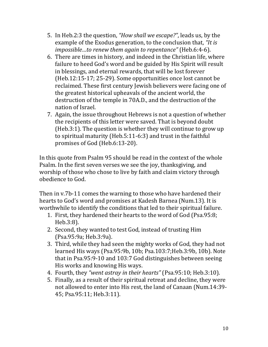- 5. In Heb.2:3 the question, *"How shall we escape?"*, leads us, by the example of the Exodus generation, to the conclusion that, *"It is impossible…to renew them again to repentance"* (Heb.6:4-6).
- 6. There are times in history, and indeed in the Christian life, where failure to heed God's word and be guided by His Spirit will result in blessings, and eternal rewards, that will be lost forever (Heb.12:15-17; 25-29). Some opportunities once lost cannot be reclaimed. These first century Jewish believers were facing one of the greatest historical upheavals of the ancient world, the destruction of the temple in 70A.D., and the destruction of the nation of Israel.
- 7. Again, the issue throughout Hebrews is not a question of whether the recipients of this letter were saved. That is beyond doubt (Heb.3:1). The question is whether they will continue to grow up to spiritual maturity (Heb.5:11-6:3) and trust in the faithful promises of God (Heb.6:13-20).

In this quote from Psalm 95 should be read in the context of the whole Psalm. In the first seven verses we see the joy, thanksgiving, and worship of those who chose to live by faith and claim victory through obedience to God.

Then in v.7b-11 comes the warning to those who have hardened their hearts to God's word and promises at Kadesh Barnea (Num.13). It is worthwhile to identify the conditions that led to their spiritual failure.

- 1. First, they hardened their hearts to the word of God (Psa.95:8; Heb.3:8).
- 2. Second, they wanted to test God, instead of trusting Him (Psa.95:9a; Heb.3:9a).
- 3. Third, while they had seen the mighty works of God, they had not learned His ways (Psa.95:9b, 10b; Psa.103:7;Heb.3:9b, 10b). Note that in Psa.95:9-10 and 103:7 God distinguishes between seeing His works and knowing His ways.
- 4. Fourth, they *"went astray in their hearts"* (Psa.95:10; Heb.3:10).
- 5. Finally, as a result of their spiritual retreat and decline, they were not allowed to enter into His rest, the land of Canaan (Num.14:39- 45; Psa.95:11; Heb.3:11).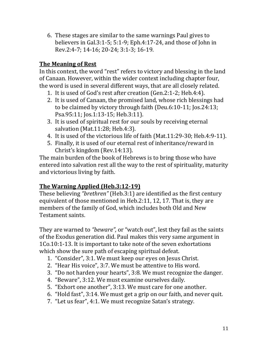6. These stages are similar to the same warnings Paul gives to believers in Gal.3:1-5; 5:1-9; Eph.4:17-24, and those of John in Rev.2:4-7; 14-16; 20-24; 3:1-3; 16-19.

## **The Meaning of Rest**

In this context, the word "rest" refers to victory and blessing in the land of Canaan. However, within the wider context including chapter four, the word is used in several different ways, that are all closely related.

- 1. It is used of God's rest after creation (Gen.2:1-2; Heb.4:4).
- 2. It is used of Canaan, the promised land, whose rich blessings had to be claimed by victory through faith (Deu.6:10-11; Jos.24:13; Psa.95:11; Jos.1:13-15; Heb.3:11).
- 3. It is used of spiritual rest for our souls by receiving eternal salvation (Mat.11:28; Heb.4:3).
- 4. It is used of the victorious life of faith (Mat.11:29-30; Heb.4:9-11).
- 5. Finally, it is used of our eternal rest of inheritance/reward in Christ's kingdom (Rev.14:13).

The main burden of the book of Hebrews is to bring those who have entered into salvation rest all the way to the rest of spirituality, maturity and victorious living by faith.

#### **The Warning Applied (Heb.3:12-19)**

These believing *"brethren"* (Heb.3:1) are identified as the first century equivalent of those mentioned in Heb.2:11, 12, 17. That is, they are members of the family of God, which includes both Old and New Testament saints.

They are warned to *"beware",* or "watch out", lest they fail as the saints of the Exodus generation did. Paul makes this very same argument in 1Co.10:1-13. It is important to take note of the seven exhortations which show the sure path of escaping spiritual defeat.

- 1. "Consider", 3:1. We must keep our eyes on Jesus Christ.
- 2. "Hear His voice", 3:7. We must be attentive to His word.
- 3. "Do not harden your hearts", 3:8. We must recognize the danger.
- 4. "Beware", 3:12. We must examine ourselves daily.
- 5. "Exhort one another", 3:13. We must care for one another.
- 6. "Hold fast", 3:14. We must get a grip on our faith, and never quit.
- 7. "Let us fear", 4:1. We must recognize Satan's strategy.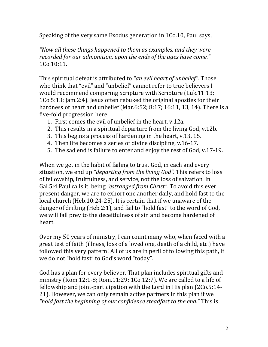Speaking of the very same Exodus generation in 1Co.10, Paul says,

*"Now all these things happened to them as examples, and they were recorded for our admonition, upon the ends of the ages have come."*  1Co.10:11.

This spiritual defeat is attributed to *"an evil heart of unbelief"*. Those who think that "evil" and "unbelief" cannot refer to true believers I would recommend comparing Scripture with Scripture (Luk.11:13; 1Co.5:13; Jam.2:4). Jesus often rebuked the original apostles for their hardness of heart and unbelief (Mar.6:52; 8:17; 16:11, 13, 14). There is a five-fold progression here.

- 1. First comes the evil of unbelief in the heart, v.12a.
- 2. This results in a spiritual departure from the living God, v.12b.
- 3. This begins a process of hardening in the heart, v.13, 15.
- 4. Then life becomes a series of divine discipline, v.16-17.
- 5. The sad end is failure to enter and enjoy the rest of God, v.17-19.

When we get in the habit of failing to trust God, in each and every situation, we end up *"departing from the living God".* This refers to loss of fellowship, fruitfulness, and service, not the loss of salvation. In Gal.5:4 Paul calls it being *"estranged from Christ"*. To avoid this ever present danger, we are to exhort one another daily, and hold fast to the local church (Heb.10:24-25). It is certain that if we unaware of the danger of drifting (Heb.2:1), and fail to "hold fast" to the word of God, we will fall prey to the deceitfulness of sin and become hardened of heart.

Over my 50 years of ministry, I can count many who, when faced with a great test of faith (illness, loss of a loved one, death of a child, etc.) have followed this very pattern! All of us are in peril of following this path, if we do not "hold fast" to God's word "today".

God has a plan for every believer. That plan includes spiritual gifts and ministry (Rom.12:1-8; Rom.11:29; 1Co.12:7). We are called to a life of fellowship and joint-participation with the Lord in His plan (2Co.5:14- 21). However, we can only remain active partners in this plan if we *"hold fast the beginning of our confidence steadfast to the end."* This is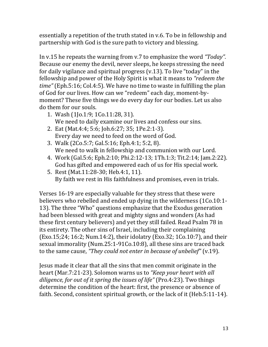essentially a repetition of the truth stated in v.6. To be in fellowship and partnership with God is the sure path to victory and blessing.

In v.15 he repeats the warning from v.7 to emphasize the word *"Today".* Because our enemy the devil, never sleeps, he keeps stressing the need for daily vigilance and spiritual progress (v.13). To live "today" in the fellowship and power of the Holy Spirit is what it means to *"redeem the time"* (Eph.5:16; Col.4:5). We have no time to waste in fulfilling the plan of God for our lives. How can we "redeem" each day, moment-bymoment? These five things we do every day for our bodies. Let us also do them for our souls.

- 1. Wash (1Jo.1:9; 1Co.11:28, 31). We need to daily examine our lives and confess our sins.
- 2. Eat (Mat.4:4; 5:6; Joh.6:27; 35; 1Pe.2:1-3). Every day we need to feed on the word of God.
- 3. Walk (2Co.5:7; Gal.5:16; Eph.4:1; 5:2, 8). We need to walk in fellowship and communion with our Lord.
- 4. Work (Gal.5:6; Eph.2:10; Phi.2:12-13; 1Th.1:3; Tit.2:14; Jam.2:22). God has gifted and empowered each of us for His special work.
- 5. Rest (Mat.11:28-30; Heb.4:1, 11). By faith we rest in His faithfulness and promises, even in trials.

Verses 16-19 are especially valuable for they stress that these were believers who rebelled and ended up dying in the wilderness (1Co.10:1- 13). The three "Who" questions emphasize that the Exodus generation had been blessed with great and mighty signs and wonders (As had these first century believers) and yet they still failed. Read Psalm 78 in its entirety. The other sins of Israel, including their complaining (Exo.15;24; 16:2; Num.14:2), their idolatry (Exo.32; 1Co.10:7), and their sexual immorality (Num.25:1-91Co.10:8), all these sins are traced back to the same cause, *"They could not enter in because of unbelief"* (v.19).

Jesus made it clear that all the sins that men commit originate in the heart (Mar.7:21-23). Solomon warns us to *"Keep your heart with all diligence, for out of it spring the issues of life"* (Pro.4:23). Two things determine the condition of the heart: first, the presence or absence of faith. Second, consistent spiritual growth, or the lack of it (Heb.5:11-14).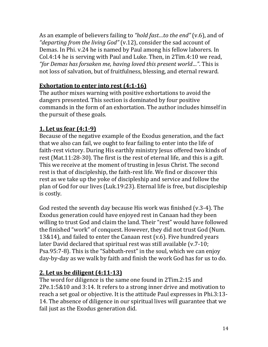As an example of believers failing to *"hold fast…to the end"* (v.6), and of *"departing from the living God"* (v.12), consider the sad account of Demas. In Phi. v.24 he is named by Paul among his fellow laborers. In Col.4:14 he is serving with Paul and Luke. Then, in 2Tim.4:10 we read, *"for Demas has forsaken me, having loved this present world…"*. This is not loss of salvation, but of fruitfulness, blessing, and eternal reward.

## **Exhortation to enter into rest (4:1-16)**

The author mixes warning with positive exhortations to avoid the dangers presented. This section is dominated by four positive commands in the form of an exhortation. The author includes himself in the pursuit of these goals.

# **1. Let us fear (4:1-9)**

Because of the negative example of the Exodus generation, and the fact that we also can fail, we ought to fear failing to enter into the life of faith-rest victory. During His earthly ministry Jesus offered two kinds of rest (Mat.11:28-30). The first is the rest of eternal life, and this is a gift. This we receive at the moment of trusting in Jesus Christ. The second rest is that of discipleship, the faith-rest life. We find or discover this rest as we take up the yoke of discipleship and service and follow the plan of God for our lives (Luk.19:23). Eternal life is free, but discipleship is costly.

God rested the seventh day because His work was finished (v.3-4). The Exodus generation could have enjoyed rest in Canaan had they been willing to trust God and claim the land. Their "rest" would have followed the finished "work" of conquest. However, they did not trust God (Num. 13&14), and failed to enter the Canaan rest (v.6). Five hundred years later David declared that spiritual rest was still available (v.7-10; Psa.95:7-8). This is the "Sabbath-rest" in the soul, which we can enjoy day-by-day as we walk by faith and finish the work God has for us to do.

# **2. Let us be diligent (4:11-13)**

The word for diligence is the same one found in 2Tim.2:15 and 2Pe.1:5&10 and 3:14. It refers to a strong inner drive and motivation to reach a set goal or objective. It is the attitude Paul expresses in Phi.3:13- 14. The absence of diligence in our spiritual lives will guarantee that we fail just as the Exodus generation did.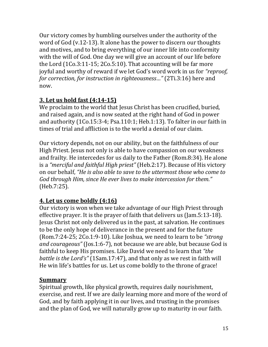Our victory comes by humbling ourselves under the authority of the word of God (v.12-13). It alone has the power to discern our thoughts and motives, and to bring everything of our inner life into conformity with the will of God. One day we will give an account of our life before the Lord (1Co.3:11-15; 2Co.5:10). That accounting will be far more joyful and worthy of reward if we let God's word work in us for *"reproof, for correction, for instruction in righteousness…"* (2Ti.3:16) here and now.

# **3. Let us hold fast (4:14-15)**

We proclaim to the world that Jesus Christ has been crucified, buried, and raised again, and is now seated at the right hand of God in power and authority (1Co.15:3-4; Psa.110:1; Heb.1:13). To falter in our faith in times of trial and affliction is to the world a denial of our claim.

Our victory depends, not on our ability, but on the faithfulness of our High Priest. Jesus not only is able to have compassion on our weakness and frailty. He intercedes for us daily to the Father (Rom.8:34). He alone is a *"merciful and faithful High priest"* (Heb.2:17). Because of His victory on our behalf, *"He is also able to save to the uttermost those who come to God through Him, since He ever lives to make intercession for them."*  (Heb.7:25).

# **4. Let us come boldly (4:16)**

Our victory is won when we take advantage of our High Priest through effective prayer. It is the prayer of faith that delivers us (Jam.5:13-18). Jesus Christ not only delivered us in the past, at salvation. He continues to be the only hope of deliverance in the present and for the future (Rom.7:24-25; 2Co.1:9-10). Like Joshua, we need to learn to be *"strong and courageous"* (Jos.1:6-7), not because we are able, but because God is faithful to keep His promises. Like David we need to learn that *"the battle is the Lord's"* (1Sam.17:47), and that only as we rest in faith will He win life's battles for us. Let us come boldly to the throne of grace!

# **Summary**

Spiritual growth, like physical growth, requires daily nourishment, exercise, and rest. If we are daily learning more and more of the word of God, and by faith applying it in our lives, and trusting in the promises and the plan of God, we will naturally grow up to maturity in our faith.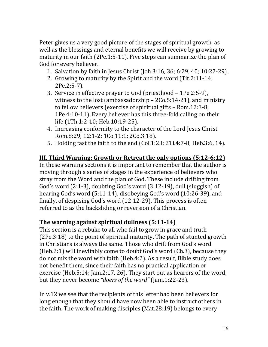Peter gives us a very good picture of the stages of spiritual growth, as well as the blessings and eternal benefits we will receive by growing to maturity in our faith (2Pe.1:5-11). Five steps can summarize the plan of God for every believer.

- 1. Salvation by faith in Jesus Christ (Joh.3:16, 36; 6:29, 40; 10:27-29).
- 2. Growing to maturity by the Spirit and the word (Tit.2:11-14; 2Pe.2:5-7).
- 3. Service in effective prayer to God (priesthood 1Pe.2:5-9), witness to the lost (ambassadorship – 2Co.5:14-21), and ministry to fellow believers (exercise of spiritual gifts – Rom.12:3-8; 1Pe.4:10-11). Every believer has this three-fold calling on their life (1Th.1:2-10; Heb.10:19-25).
- 4. Increasing conformity to the character of the Lord Jesus Christ Rom.8:29; 12:1-2; 1Co.11:1; 2Co.3:18).
- 5. Holding fast the faith to the end (Col.1:23; 2Ti.4:7-8; Heb.3:6, 14).

#### **III. Third Warning: Growth or Retreat the only options (5:12-6:12)**

In these warning sections it is important to remember that the author is moving through a series of stages in the experience of believers who stray from the Word and the plan of God. These include drifting from God's word (2:1-3), doubting God's word (3:12-19), dull (sluggish) of hearing God's word (5:11-14), disobeying God's word (10:26-39), and finally, of despising God's word (12:12-29). This process is often referred to as the backsliding or reversion of a Christian.

#### **The warning against spiritual dullness (5:11-14)**

This section is a rebuke to all who fail to grow in grace and truth (2Pe.3:18) to the point of spiritual maturity. The path of stunted growth in Christians is always the same. Those who drift from God's word (Heb.2:1) will inevitably come to doubt God's word (Ch.3), because they do not mix the word with faith (Heb.4:2). As a result, Bible study does not benefit them, since their faith has no practical application or exercise (Heb.5:14; Jam.2:17, 26). They start out as hearers of the word, but they never become *"doers of the word"* (Jam.1:22-23).

In v.12 we see that the recipients of this letter had been believers for long enough that they should have now been able to instruct others in the faith. The work of making disciples (Mat.28:19) belongs to every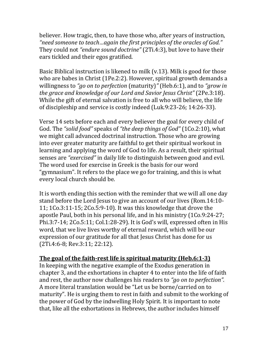believer. How tragic, then, to have those who, after years of instruction, *"need someone to teach…again the first principles of the oracles of God."*  They could not *"endure sound doctrine"* (2Ti.4:3), but love to have their ears tickled and their egos gratified.

Basic Biblical instruction is likened to milk (v.13). Milk is good for those who are babes in Christ (1Pe.2:2). However, spiritual growth demands a willingness to *"go on to perfection* (maturity)*"* (Heb.6:1), and to *"grow in the grace and knowledge of our Lord and Savior Jesus Christ"* (2Pe.3:18). While the gift of eternal salvation is free to all who will believe, the life of discipleship and service is costly indeed (Luk.9:23-26; 14:26-33).

Verse 14 sets before each and every believer the goal for every child of God. The *"solid food"* speaks of *"the deep things of God"* (1Co.2:10), what we might call advanced doctrinal instruction. Those who are growing into ever greater maturity are faithful to get their spiritual workout in learning and applying the word of God to life. As a result, their spiritual senses are *"exercised"* in daily life to distinguish between good and evil. The word used for exercise in Greek is the basis for our word "gymnasium". It refers to the place we go for training, and this is what every local church should be.

It is worth ending this section with the reminder that we will all one day stand before the Lord Jesus to give an account of our lives (Rom.14:10- 11; 1Co.3:11-15; 2Co.5:9-10). It was this knowledge that drove the apostle Paul, both in his personal life, and in his ministry (1Co.9:24-27; Phi.3:7-14; 2Co.5:11; Col.1:28-29). It is God's will, expressed often in His word, that we live lives worthy of eternal reward, which will be our expression of our gratitude for all that Jesus Christ has done for us (2Ti.4:6-8; Rev.3:11; 22:12).

#### **The goal of the faith-rest life is spiritual maturity (Heb.6:1-3)**

In keeping with the negative example of the Exodus generation in chapter 3, and the exhortations in chapter 4 to enter into the life of faith and rest, the author now challenges his readers to *"go on to perfection".* A more literal translation would be "Let us be borne/carried on to maturity". He is urging them to rest in faith and submit to the working of the power of God by the indwelling Holy Spirit. It is important to note that, like all the exhortations in Hebrews, the author includes himself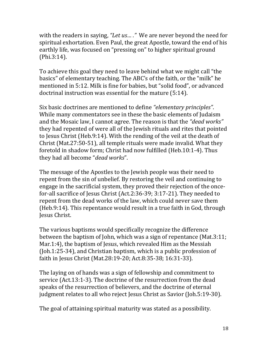with the readers in saying, "Let us...." We are never beyond the need for spiritual exhortation. Even Paul, the great Apostle, toward the end of his earthly life, was focused on "pressing on" to higher spiritual ground (Phi.3:14).

To achieve this goal they need to leave behind what we might call "the basics" of elementary teaching. The ABC's of the faith, or the "milk" he mentioned in 5:12. Milk is fine for babies, but "solid food", or advanced doctrinal instruction was essential for the mature (5:14).

Six basic doctrines are mentioned to define *"elementary principles"*. While many commentators see in these the basic elements of Judaism and the Mosaic law, I cannot agree. The reason is that the *"dead works"*  they had repented of were all of the Jewish rituals and rites that pointed to Jesus Christ (Heb.9:14). With the rending of the veil at the death of Christ (Mat.27:50-51), all temple rituals were made invalid. What they foretold in shadow form; Christ had now fulfilled (Heb.10:1-4). Thus they had all become "*dead works*".

The message of the Apostles to the Jewish people was their need to repent from the sin of unbelief. By restoring the veil and continuing to engage in the sacrificial system, they proved their rejection of the oncefor-all sacrifice of Jesus Christ (Act.2:36-39; 3:17-21). They needed to repent from the dead works of the law, which could never save them (Heb.9:14). This repentance would result in a true faith in God, through Jesus Christ.

The various baptisms would specifically recognize the difference between the baptism of John, which was a sign of repentance (Mat.3:11; Mar.1:4), the baptism of Jesus, which revealed Him as the Messiah (Joh.1:25-34), and Christian baptism, which is a public profession of faith in Jesus Christ (Mat.28:19-20; Act.8:35-38; 16:31-33).

The laying on of hands was a sign of fellowship and commitment to service (Act.13:1-3). The doctrine of the resurrection from the dead speaks of the resurrection of believers, and the doctrine of eternal judgment relates to all who reject Jesus Christ as Savior (Joh.5:19-30).

The goal of attaining spiritual maturity was stated as a possibility.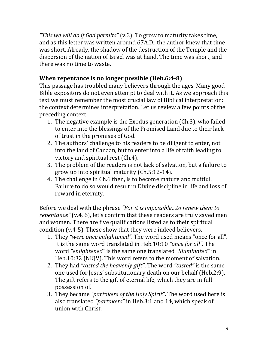*"This we will do if God permits"* (v.3). To grow to maturity takes time, and as this letter was written around 67A.D., the author knew that time was short. Already, the shadow of the destruction of the Temple and the dispersion of the nation of Israel was at hand. The time was short, and there was no time to waste.

## **When repentance is no longer possible (Heb.6:4-8)**

This passage has troubled many believers through the ages. Many good Bible expositors do not even attempt to deal with it. As we approach this text we must remember the most crucial law of Biblical interpretation: the context determines interpretation. Let us review a few points of the preceding context.

- 1. The negative example is the Exodus generation (Ch.3), who failed to enter into the blessings of the Promised Land due to their lack of trust in the promises of God.
- 2. The authors' challenge to his readers to be diligent to enter, not into the land of Canaan, but to enter into a life of faith leading to victory and spiritual rest (Ch.4).
- 3. The problem of the readers is not lack of salvation, but a failure to grow up into spiritual maturity (Ch.5:12-14).
- 4. The challenge in Ch.6 then, is to become mature and fruitful. Failure to do so would result in Divine discipline in life and loss of reward in eternity.

Before we deal with the phrase *"For it is impossible…to renew them to repentance"* (v.4, 6), let's confirm that these readers are truly saved men and women. There are five qualifications listed as to their spiritual condition (v.4-5). These show that they were indeed believers.

- 1. They *"were once enlightened"*. The word used means "once for all". It is the same word translated in Heb.10:10 *"once for all".* The word *"enlightened"* is the same one translated *"illuminated"* in Heb.10:32 (NKJV). This word refers to the moment of salvation.
- 2. They had *"tasted the heavenly gift"*. The word *"tasted"* is the same one used for Jesus' substitutionary death on our behalf (Heb.2:9). The gift refers to the gift of eternal life, which they are in full possession of.
- 3. They became *"partakers of the Holy Spirit"*. The word used here is also translated *"partakers"* in Heb.3:1 and 14, which speak of union with Christ.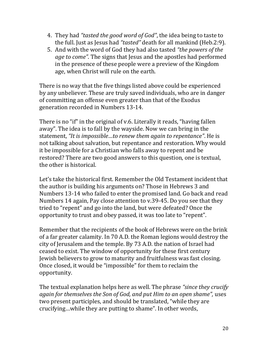- 4. They had *"tasted the good word of God"*, the idea being to taste to the full. Just as Jesus had *"tasted"* death for all mankind (Heb.2:9).
- 5. And with the word of God they had also tasted *"the powers of the age to come"*. The signs that Jesus and the apostles had performed in the presence of these people were a preview of the Kingdom age, when Christ will rule on the earth.

There is no way that the five things listed above could be experienced by any unbeliever. These are truly saved individuals, who are in danger of committing an offense even greater than that of the Exodus generation recorded in Numbers 13-14.

There is no "if" in the original of v.6. Literally it reads, "having fallen away". The idea is to fall by the wayside. Now we can bring in the statement, *"It is impossible…to renew them again to repentance"*. He is not talking about salvation, but repentance and restoration. Why would it be impossible for a Christian who falls away to repent and be restored? There are two good answers to this question, one is textual, the other is historical.

Let's take the historical first. Remember the Old Testament incident that the author is building his arguments on? Those in Hebrews 3 and Numbers 13-14 who failed to enter the promised land. Go back and read Numbers 14 again, Pay close attention to v.39-45. Do you see that they tried to "repent" and go into the land, but were defeated? Once the opportunity to trust and obey passed, it was too late to "repent".

Remember that the recipients of the book of Hebrews were on the brink of a far greater calamity. In 70 A.D. the Roman legions would destroy the city of Jerusalem and the temple. By 73 A.D. the nation of Israel had ceased to exist. The window of opportunity for these first century Jewish believers to grow to maturity and fruitfulness was fast closing. Once closed, it would be "impossible" for them to reclaim the opportunity.

The textual explanation helps here as well. The phrase *"since they crucify again for themselves the Son of God, and put Him to an open shame",* uses two present participles, and should be translated, "while they are crucifying…while they are putting to shame". In other words,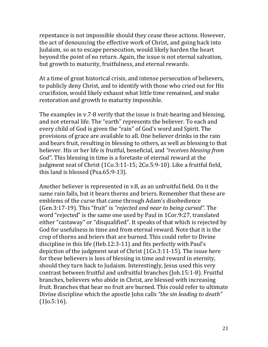repentance is not impossible should they cease these actions. However, the act of denouncing the effective work of Christ, and going back into Judaism, so as to escape persecution, would likely harden the heart beyond the point of no return. Again, the issue is not eternal salvation, but growth to maturity, fruitfulness, and eternal rewards.

At a time of great historical crisis, and intense persecution of believers, to publicly deny Christ, and to identify with those who cried out for His crucifixion, would likely exhaust what little time remained, and make restoration and growth to maturity impossible.

The examples in v.7-8 verify that the issue is fruit-bearing and blessing, and not eternal life. The "earth" represents the believer. To each and every child of God is given the "rain" of God's word and Spirit. The provisions of grace are available to all. One believer drinks in the rain and bears fruit, resulting in blessing to others, as well as blessing to that believer. His or her life is fruitful, beneficial, and *"receives blessing from God"*. This blessing in time is a foretaste of eternal reward at the judgment seat of Christ (1Co.3:11-15; 2Co.5:9-10). Like a fruitful field, this land is blessed (Psa.65:9-13).

Another believer is represented in v.8, as an unfruitful field. On it the same rain falls, but it bears thorns and briers. Remember that these are emblems of the curse that came through Adam's disobedience (Gen.3:17-19). This "fruit" is *"rejected and near to being cursed"*. The word "rejected" is the same one used by Paul in 1Cor.9:27, translated either "castaway" or "disqualified". It speaks of that which is rejected by God for usefulness in time and from eternal reward. Note that it is the crop of thorns and briers that are burned. This could refer to Divine discipline in this life (Heb.12:3-11) and fits perfectly with Paul's depiction of the judgment seat of Christ (1Co.3:11-15). The issue here for these believers is loss of blessing in time and reward in eternity, should they turn back to Judaism. Interestingly, Jesus used this very contrast between fruitful and unfruitful branches (Joh.15:1-8). Fruitful branches, believers who abide in Christ, are blessed with increasing fruit. Branches that bear no fruit are burned. This could refer to ultimate Divine discipline which the apostle John calls *"the sin leading to death"*  (1Jo.5:16).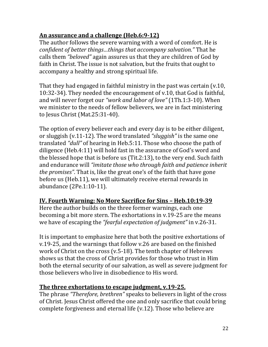## **An assurance and a challenge (Heb.6:9-12)**

The author follows the severe warning with a word of comfort. He is *confident of better things…things that accompany salvation."* That he calls them *"beloved"* again assures us that they are children of God by faith in Christ. The issue is not salvation, but the fruits that ought to accompany a healthy and strong spiritual life.

That they had engaged in faithful ministry in the past was certain (v.10, 10:32-34). They needed the encouragement of v.10, that God is faithful, and will never forget our *"work and labor of love"* (1Th.1:3-10). When we minister to the needs of fellow believers, we are in fact ministering to Jesus Christ (Mat.25:31-40).

The option of every believer each and every day is to be either diligent, or sluggish (v.11-12). The word translated *"sluggish"* is the same one translated *"dull"* of hearing in Heb.5:11. Those who choose the path of diligence (Heb.4:11) will hold fast in the assurance of God's word and the blessed hope that is before us (Tit.2:13), to the very end. Such faith and endurance will *"imitate those who through faith and patience inherit the promises"*. That is, like the great one's of the faith that have gone before us (Heb.11), we will ultimately receive eternal rewards in abundance (2Pe.1:10-11).

#### **IV. Fourth Warning: No More Sacrifice for Sins – Heb.10:19-39**

Here the author builds on the three former warnings, each one becoming a bit more stern. The exhortations in v.19-25 are the means we have of escaping the *"fearful expectation of judgment"* in v.26-31.

It is important to emphasize here that both the positive exhortations of v.19-25, and the warnings that follow v.26 are based on the finished work of Christ on the cross (v.5-18). The tenth chapter of Hebrews shows us that the cross of Christ provides for those who trust in Him both the eternal security of our salvation, as well as severe judgment for those believers who live in disobedience to His word.

#### **The three exhortations to escape judgment, v.19-25.**

The phrase *"Therefore, brethren"* speaks to believers in light of the cross of Christ. Jesus Christ offered the one and only sacrifice that could bring complete forgiveness and eternal life (v.12). Those who believe are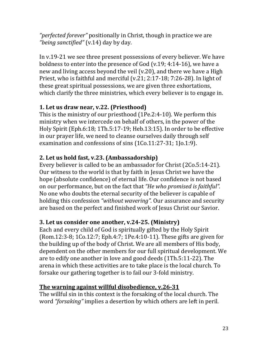*"perfected forever"* positionally in Christ, though in practice we are *"being sanctified"* (v.14) day by day.

In v.19-21 we see three present possessions of every believer. We have boldness to enter into the presence of God (v.19; 4:14-16), we have a new and living access beyond the veil (v.20), and there we have a High Priest, who is faithful and merciful (v.21; 2:17-18; 7:26-28). In light of these great spiritual possessions, we are given three exhortations, which clarify the three ministries, which every believer is to engage in.

# **1. Let us draw near, v.22. (Priesthood)**

This is the ministry of our priesthood (1Pe.2:4-10). We perform this ministry when we intercede on behalf of others, in the power of the Holy Spirit (Eph.6:18; 1Th.5:17-19; Heb.13:15). In order to be effective in our prayer life, we need to cleanse ourselves daily through self examination and confessions of sins (1Co.11:27-31; 1Jo.1:9).

# **2. Let us hold fast, v.23. (Ambassadorship)**

Every believer is called to be an ambassador for Christ (2Co.5:14-21). Our witness to the world is that by faith in Jesus Christ we have the hope (absolute confidence) of eternal life. Our confidence is not based on our performance, but on the fact that *"He who promised is faithful".* No one who doubts the eternal security of the believer is capable of holding this confession *"without wavering".* Our assurance and security are based on the perfect and finished work of Jesus Christ our Savior.

# **3. Let us consider one another, v.24-25. (Ministry)**

Each and every child of God is spiritually gifted by the Holy Spirit (Rom.12:3-8; 1Co.12:7; Eph.4:7; 1Pe.4:10-11). These gifts are given for the building up of the body of Christ. We are all members of His body, dependent on the other members for our full spiritual development. We are to edify one another in love and good deeds (1Th.5:11-22). The arena in which these activities are to take place is the local church. To forsake our gathering together is to fail our 3-fold ministry.

# **The warning against willful disobedience, v.26-31**

The willful sin in this context is the forsaking of the local church. The word *"forsaking"* implies a desertion by which others are left in peril.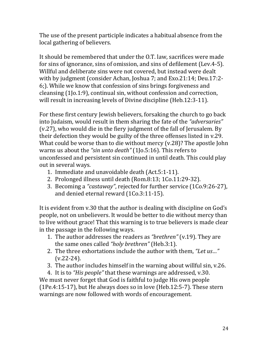The use of the present participle indicates a habitual absence from the local gathering of believers.

It should be remembered that under the O.T. law, sacrifices were made for sins of ignorance, sins of omission, and sins of defilement (Lev.4-5). Willful and deliberate sins were not covered, but instead were dealt with by judgment (consider Achan, Joshua 7; and Exo.21:14; Deu.17:2- 6;). While we know that confession of sins brings forgiveness and cleansing (1Jo.1:9), continual sin, without confession and correction, will result in increasing levels of Divine discipline (Heb.12:3-11).

For these first century Jewish believers, forsaking the church to go back into Judaism, would result in them sharing the fate of the *"adversaries"*  (v.27), who would die in the fiery judgment of the fall of Jerusalem. By their defection they would be guilty of the three offenses listed in v.29. What could be worse than to die without mercy (v.28)? The apostle John warns us about the *"sin unto death"* (1Jo.5:16). This refers to unconfessed and persistent sin continued in until death. This could play out in several ways.

- 1. Immediate and unavoidable death (Act.5:1-11).
- 2. Prolonged illness until death (Rom.8:13; 1Co.11:29-32).
- 3. Becoming a *"castaway"*, rejected for further service (1Co.9:26-27), and denied eternal reward (1Co.3:11-15).

It is evident from v.30 that the author is dealing with discipline on God's people, not on unbelievers. It would be better to die without mercy than to live without grace! That this warning is to true believers is made clear in the passage in the following ways.

- 1. The author addresses the readers as *"brethren"* (v.19). They are the same ones called *"holy brethren"* (Heb.3:1).
- 2. The three exhortations include the author with them, *"Let us…"*   $(v.22-24)$ .
- 3. The author includes himself in the warning about willful sin, v.26.

4. It is to *"His people"* that these warnings are addressed, v.30. We must never forget that God is faithful to judge His own people (1Pe.4:15-17), but He always does so in love (Heb.12:5-7). These stern warnings are now followed with words of encouragement.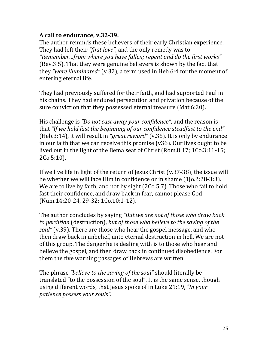## **A call to endurance, v.32-39.**

The author reminds these believers of their early Christian experience. They had left their *"first love",* and the only remedy was to *"Remember…from where you have fallen; repent and do the first works"*  (Rev.3:5). That they were genuine believers is shown by the fact that they *"were illuminated"* (v.32), a term used in Heb.6:4 for the moment of entering eternal life.

They had previously suffered for their faith, and had supported Paul in his chains. They had endured persecution and privation because of the sure conviction that they possessed eternal treasure (Mat.6:20).

His challenge is *"Do not cast away your confidence"*, and the reason is that *"If we hold fast the beginning of our confidence steadfast to the end"*  (Heb.3:14), it will result in *"great reward"* (v.35). It is only by endurance in our faith that we can receive this promise (v36). Our lives ought to be lived out in the light of the Bema seat of Christ (Rom.8:17; 1Co.3:11-15; 2Co.5:10).

If we live life in light of the return of Jesus Christ (v.37-38), the issue will be whether we will face Him in confidence or in shame (1Jo.2:28-3:3). We are to live by faith, and not by sight (2Co.5:7). Those who fail to hold fast their confidence, and draw back in fear, cannot please God (Num.14:20-24, 29-32; 1Co.10:1-12).

The author concludes by saying *"But we are not of those who draw back to perdition* (destruction), *but of those who believe to the saving of the soul"* (v.39). There are those who hear the gospel message, and who then draw back in unbelief, unto eternal destruction in hell. We are not of this group. The danger he is dealing with is to those who hear and believe the gospel, and then draw back in continued disobedience. For them the five warning passages of Hebrews are written.

The phrase *"believe to the saving of the soul"* should literally be translated "to the possession of the soul". It is the same sense, though using different words, that Jesus spoke of in Luke 21:19, *"In your patience possess your souls".*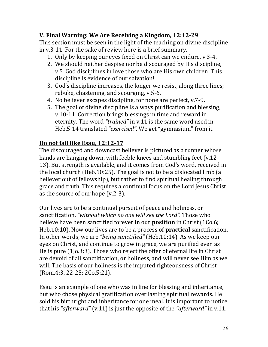## **V. Final Warning: We Are Receiving a Kingdom, 12:12-29**

This section must be seen in the light of the teaching on divine discipline in v.3-11. For the sake of review here is a brief summary.

- 1. Only by keeping our eyes fixed on Christ can we endure, v.3-4.
- 2. We should neither despise nor be discouraged by His discipline, v.5. God disciplines in love those who are His own children. This discipline is evidence of our salvation!
- 3. God's discipline increases, the longer we resist, along three lines; rebuke, chastening, and scourging, v.5-6.
- 4. No believer escapes discipline, for none are perfect, v.7-9.
- 5. The goal of divine discipline is always purification and blessing, v.10-11. Correction brings blessings in time and reward in eternity. The word *"trained"* in v.11 is the same word used in Heb.5:14 translated *"exercised".* We get "gymnasium" from it.

#### **Do not fail like Esau, 12:12-17**

The discouraged and downcast believer is pictured as a runner whose hands are hanging down, with feeble knees and stumbling feet (v.12- 13). But strength is available, and it comes from God's word, received in the local church (Heb.10:25). The goal is not to be a dislocated limb (a believer out of fellowship), but rather to find spiritual healing through grace and truth. This requires a continual focus on the Lord Jesus Christ as the source of our hope (v.2-3).

Our lives are to be a continual pursuit of peace and holiness, or sanctification, *"without which no one will see the Lord".* Those who believe have been sanctified forever in our **position** in Christ (1Co.6; Heb.10:10). Now our lives are to be a process of **practical** sanctification. In other words, we are *"being sanctified"* (Heb.10:14). As we keep our eyes on Christ, and continue to grow in grace, we are purified even as He is pure (1Jo.3:3). Those who reject the offer of eternal life in Christ are devoid of all sanctification, or holiness, and will never see Him as we will. The basis of our holiness is the imputed righteousness of Christ (Rom.4:3, 22-25; 2Co.5:21).

Esau is an example of one who was in line for blessing and inheritance, but who chose physical gratification over lasting spiritual rewards. He sold his birthright and inheritance for one meal. It is important to notice that his *"afterward"* (v.11) is just the opposite of the *"afterward"* in v.11.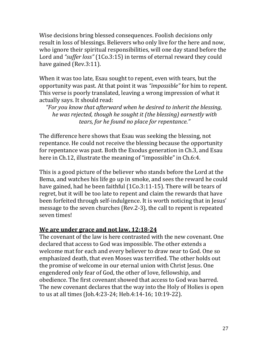Wise decisions bring blessed consequences. Foolish decisions only result in loss of blessings. Believers who only live for the here and now, who ignore their spiritual responsibilities, will one day stand before the Lord and *"suffer loss"* (1Co.3:15) in terms of eternal reward they could have gained (Rev.3:11).

When it was too late, Esau sought to repent, even with tears, but the opportunity was past. At that point it was *"impossible"* for him to repent. This verse is poorly translated, leaving a wrong impression of what it actually says. It should read:

*"For you know that afterward when he desired to inherit the blessing, he was rejected, though he sought it (the blessing) earnestly with tears, for he found no place for repentance."*

The difference here shows that Esau was seeking the blessing, not repentance. He could not receive the blessing because the opportunity for repentance was past. Both the Exodus generation in Ch.3, and Esau here in Ch.12, illustrate the meaning of "impossible" in Ch.6:4.

This is a good picture of the believer who stands before the Lord at the Bema, and watches his life go up in smoke, and sees the reward he could have gained, had he been faithful (1Co.3:11-15). There will be tears of regret, but it will be too late to repent and claim the rewards that have been forfeited through self-indulgence. It is worth noticing that in Jesus' message to the seven churches (Rev.2-3), the call to repent is repeated seven times!

#### **We are under grace and not law, 12:18-24**

The covenant of the law is here contrasted with the new covenant. One declared that access to God was impossible. The other extends a welcome mat for each and every believer to draw near to God. One so emphasized death, that even Moses was terrified. The other holds out the promise of welcome in our eternal union with Christ Jesus. One engendered only fear of God, the other of love, fellowship, and obedience. The first covenant showed that access to God was barred. The new covenant declares that the way into the Holy of Holies is open to us at all times (Joh.4:23-24; Heb.4:14-16; 10:19-22).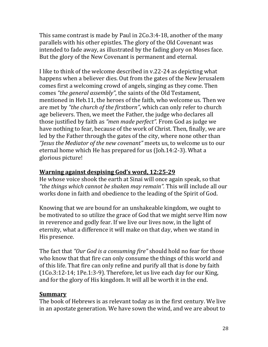This same contrast is made by Paul in 2Co.3:4-18, another of the many parallels with his other epistles. The glory of the Old Covenant was intended to fade away, as illustrated by the fading glory on Moses face. But the glory of the New Covenant is permanent and eternal.

I like to think of the welcome described in v.22-24 as depicting what happens when a believer dies. Out from the gates of the New Jerusalem comes first a welcoming crowd of angels, singing as they come. Then comes *"the general assembly"*, the saints of the Old Testament, mentioned in Heb.11, the heroes of the faith, who welcome us. Then we are met by *"the church of the firstborn"*, which can only refer to church age believers. Then, we meet the Father, the judge who declares all those justified by faith as *"men made perfect".* From God as judge we have nothing to fear, because of the work of Christ. Then, finally, we are led by the Father through the gates of the city, where none other than *"Jesus the Mediator of the new covenant"* meets us, to welcome us to our eternal home which He has prepared for us (Joh.14:2-3). What a glorious picture!

#### **Warning against despising God's word, 12:25-29**

He whose voice shook the earth at Sinai will once again speak, so that *"the things which cannot be shaken may remain".* This will include all our works done in faith and obedience to the leading of the Spirit of God.

Knowing that we are bound for an unshakeable kingdom, we ought to be motivated to so utilize the grace of God that we might serve Him now in reverence and godly fear. If we live our lives now, in the light of eternity, what a difference it will make on that day, when we stand in His presence.

The fact that *"Our God is a consuming fire"* should hold no fear for those who know that that fire can only consume the things of this world and of this life. That fire can only refine and purify all that is done by faith (1Co.3:12-14; 1Pe.1:3-9). Therefore, let us live each day for our King, and for the glory of His kingdom. It will all be worth it in the end.

#### **Summary**

The book of Hebrews is as relevant today as in the first century. We live in an apostate generation. We have sown the wind, and we are about to